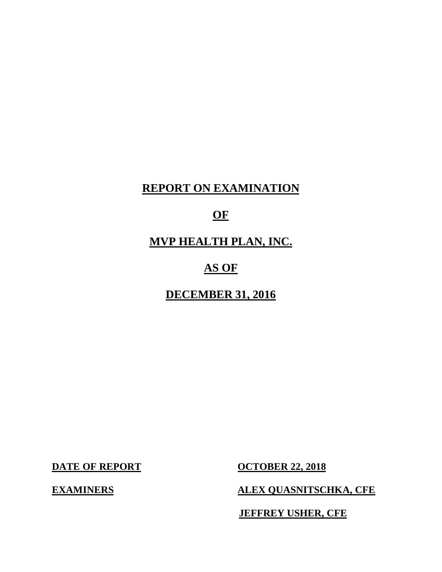# **REPORT ON EXAMINATION**

# **OF**

 **MVP HEALTH PLAN, INC.** 

# **AS OF**

 **DECEMBER 31, 2016** 

**DATE OF REPORT** 

**EXAMINERS** 

**OCTOBER 22, 2018** 

**ALEX QUASNITSCHKA, CFE** 

**JEFFREY USHER, CFE**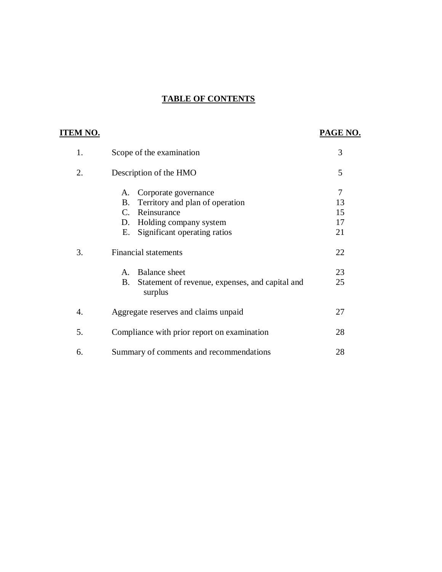## **TABLE OF CONTENTS**

# **ITEM NO.**

# **PAGE NO.**

| 1. | Scope of the examination                                                                                                                                                       | 3                         |
|----|--------------------------------------------------------------------------------------------------------------------------------------------------------------------------------|---------------------------|
| 2. | Description of the HMO                                                                                                                                                         | 5                         |
|    | Corporate governance<br>A.<br>Territory and plan of operation<br><b>B.</b><br>Reinsurance<br>$C_{\cdot}$<br>Holding company system<br>D.<br>Significant operating ratios<br>Е. | 7<br>13<br>15<br>17<br>21 |
| 3. | <b>Financial statements</b>                                                                                                                                                    | 22                        |
|    | <b>Balance</b> sheet<br>$\mathsf{A}$ .<br>Statement of revenue, expenses, and capital and<br>B.<br>surplus                                                                     | 23<br>25                  |
| 4. | Aggregate reserves and claims unpaid                                                                                                                                           | 27                        |
| 5. | Compliance with prior report on examination                                                                                                                                    | 28                        |
| 6. | Summary of comments and recommendations                                                                                                                                        | 28                        |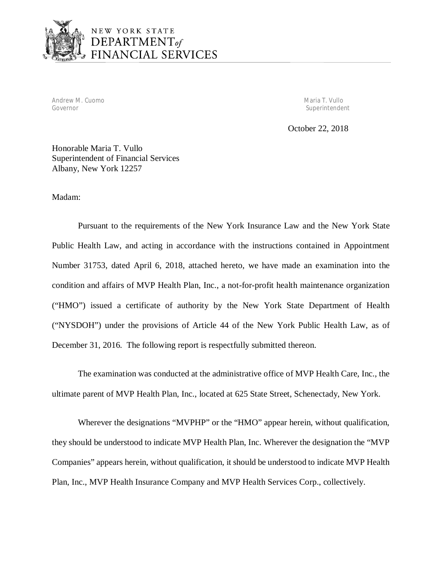

 Andrew M. Cuomo Governor Governor Maria T. Vullo

Superintendent

October 22, 2018

 Honorable Maria T. Vullo Superintendent of Financial Services Albany, New York 12257

Madam:

 Pursuant to the requirements of the New York Insurance Law and the New York State Public Health Law, and acting in accordance with the instructions contained in Appointment Number 31753, dated April 6, 2018, attached hereto, we have made an examination into the condition and affairs of MVP Health Plan, Inc., a not-for-profit health maintenance organization ("HMO") issued a certificate of authority by the New York State Department of Health ("NYSDOH") under the provisions of Article 44 of the New York Public Health Law, as of December 31, 2016. The following report is respectfully submitted thereon.

 The examination was conducted at the administrative office of MVP Health Care, Inc., the ultimate parent of MVP Health Plan, Inc., located at 625 State Street, Schenectady, New York.

 Wherever the designations "MVPHP" or the "HMO" appear herein, without qualification, they should be understood to indicate MVP Health Plan, Inc. Wherever the designation the "MVP Companies" appears herein, without qualification, it should be understood to indicate MVP Health Plan, Inc., MVP Health Insurance Company and MVP Health Services Corp., collectively.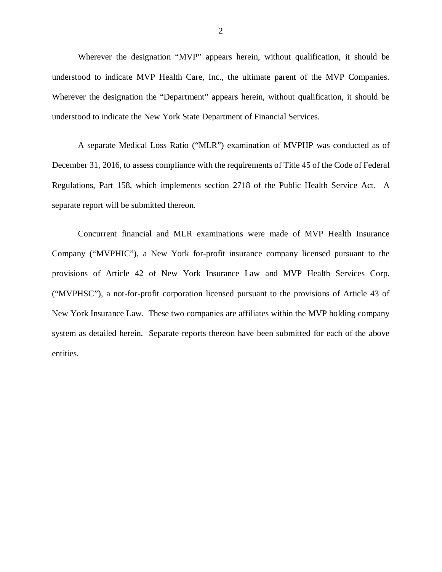Wherever the designation "MVP" appears herein, without qualification, it should be understood to indicate MVP Health Care, Inc., the ultimate parent of the MVP Companies. Wherever the designation the "Department" appears herein, without qualification, it should be understood to indicate the New York State Department of Financial Services.

 A separate Medical Loss Ratio ("MLR") examination of MVPHP was conducted as of December 31, 2016, to assess compliance with the requirements of Title 45 of the Code of Federal Regulations, Part 158, which implements section 2718 of the Public Health Service Act. A separate report will be submitted thereon.

 Concurrent financial and MLR examinations were made of MVP Health Insurance Company ("MVPHIC"), a New York for-profit insurance company licensed pursuant to the provisions of Article 42 of New York Insurance Law and MVP Health Services Corp. ("MVPHSC"), a not-for-profit corporation licensed pursuant to the provisions of Article 43 of New York Insurance Law. These two companies are affiliates within the MVP holding company system as detailed herein. Separate reports thereon have been submitted for each of the above entities.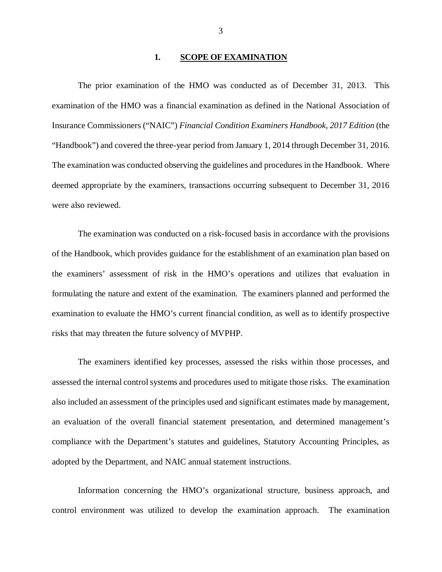#### **1. SCOPE OF EXAMINATION**

<span id="page-4-0"></span> examination of the HMO was a financial examination as defined in the National Association of Insurance Commissioners ("NAIC") *Financial Condition Examiners Handbook, 2017 Edition* (the "Handbook") and covered the three-year period from January 1, 2014 through December 31, 2016. The examination was conducted observing the guidelines and procedures in the Handbook. Where deemed appropriate by the examiners, transactions occurring subsequent to December 31, 2016 were also reviewed. The prior examination of the HMO was conducted as of December 31, 2013. This

 of the Handbook, which provides guidance for the establishment of an examination plan based on the examiners' assessment of risk in the HMO's operations and utilizes that evaluation in formulating the nature and extent of the examination. The examiners planned and performed the examination to evaluate the HMO's current financial condition, as well as to identify prospective risks that may threaten the future solvency of MVPHP. The examination was conducted on a risk-focused basis in accordance with the provisions

 assessed the internal control systems and procedures used to mitigate those risks. The examination also included an assessment of the principles used and significant estimates made by management, an evaluation of the overall financial statement presentation, and determined management's compliance with the Department's statutes and guidelines, Statutory Accounting Principles, as adopted by the Department, and NAIC annual statement instructions. The examiners identified key processes, assessed the risks within those processes, and

 Information concerning the HMO's organizational structure, business approach, and control environment was utilized to develop the examination approach. The examination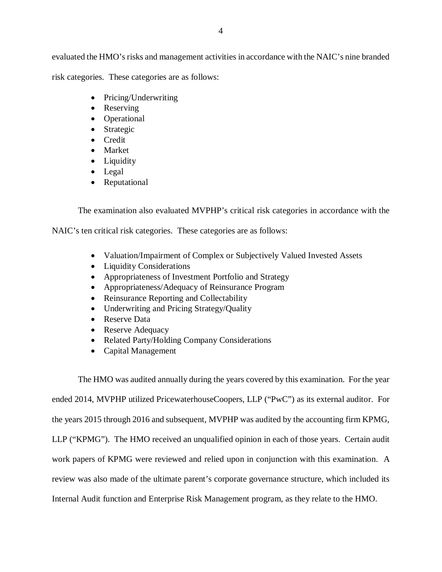evaluated the HMO's risks and management activities in accordance with the NAIC's nine branded risk categories. These categories are as follows:

- Pricing/Underwriting
- Reserving
- Operational
- Strategic
- Credit
- Market
- Liquidity
- Legal
- Reputational

The examination also evaluated MVPHP's critical risk categories in accordance with the

NAIC's ten critical risk categories. These categories are as follows:

- Valuation/Impairment of Complex or Subjectively Valued Invested Assets
- Liquidity Considerations
- Appropriateness of Investment Portfolio and Strategy
- Appropriateness/Adequacy of Reinsurance Program
- Reinsurance Reporting and Collectability
- Underwriting and Pricing Strategy/Quality
- Reserve Data
- Reserve Adequacy
- Related Party/Holding Company Considerations
- Capital Management

 The HMO was audited annually during the years covered by this examination. For the year ended 2014, MVPHP utilized PricewaterhouseCoopers, LLP ("PwC") as its external auditor. For the years 2015 through 2016 and subsequent, MVPHP was audited by the accounting firm KPMG, LLP ("KPMG"). The HMO received an unqualified opinion in each of those years. Certain audit work papers of KPMG were reviewed and relied upon in conjunction with this examination. A review was also made of the ultimate parent's corporate governance structure, which included its Internal Audit function and Enterprise Risk Management program, as they relate to the HMO.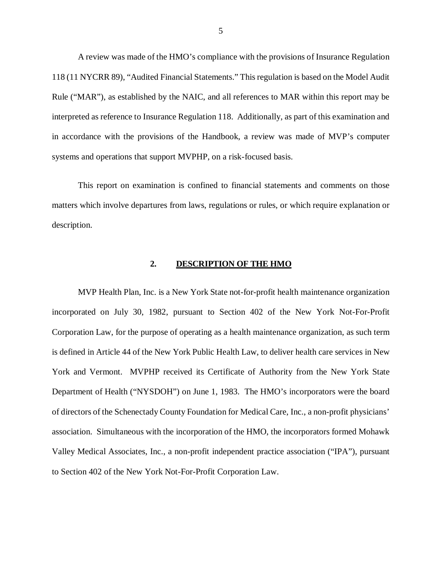<span id="page-6-0"></span> A review was made of the HMO's compliance with the provisions of Insurance Regulation 118 (11 NYCRR 89), "Audited Financial Statements." This regulation is based on the Model Audit Rule ("MAR"), as established by the NAIC, and all references to MAR within this report may be interpreted as reference to Insurance Regulation 118. Additionally, as part of this examination and in accordance with the provisions of the Handbook, a review was made of MVP's computer systems and operations that support MVPHP, on a risk-focused basis.

 This report on examination is confined to financial statements and comments on those matters which involve departures from laws, regulations or rules, or which require explanation or description.

#### **2. DESCRIPTION OF THE HMO**

 MVP Health Plan, Inc. is a New York State not-for-profit health maintenance organization incorporated on July 30, 1982, pursuant to Section 402 of the New York Not-For-Profit Corporation Law, for the purpose of operating as a health maintenance organization, as such term is defined in Article 44 of the New York Public Health Law, to deliver health care services in New York and Vermont. MVPHP received its Certificate of Authority from the New York State Department of Health ("NYSDOH") on June 1, 1983. The HMO's incorporators were the board of directors of the Schenectady County Foundation for Medical Care, Inc., a non-profit physicians' association. Simultaneous with the incorporation of the HMO, the incorporators formed Mohawk Valley Medical Associates, Inc., a non-profit independent practice association ("IPA"), pursuant to Section 402 of the New York Not-For-Profit Corporation Law.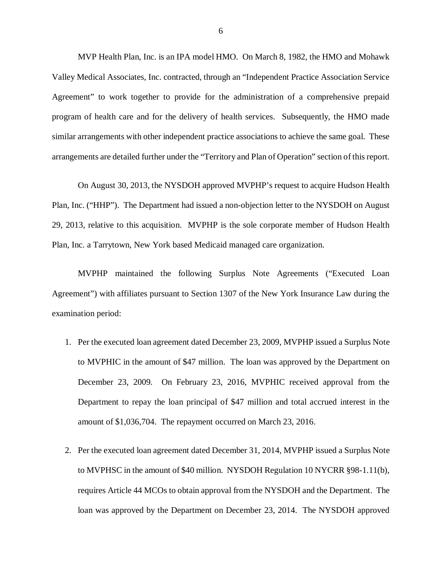MVP Health Plan, Inc. is an IPA model HMO. On March 8, 1982, the HMO and Mohawk Valley Medical Associates, Inc. contracted, through an "Independent Practice Association Service Agreement" to work together to provide for the administration of a comprehensive prepaid program of health care and for the delivery of health services. Subsequently, the HMO made similar arrangements with other independent practice associations to achieve the same goal. These arrangements are detailed further under the "Territory and Plan of Operation" section of this report.

 On August 30, 2013, the NYSDOH approved MVPHP's request to acquire Hudson Health Plan, Inc. ("HHP"). The Department had issued a non-objection letter to the NYSDOH on August 29, 2013, relative to this acquisition. MVPHP is the sole corporate member of Hudson Health Plan, Inc. a Tarrytown, New York based Medicaid managed care organization.

 MVPHP maintained the following Surplus Note Agreements ("Executed Loan Agreement") with affiliates pursuant to Section 1307 of the New York Insurance Law during the examination period:

- 1. Per the executed loan agreement dated December 23, 2009, MVPHP issued a Surplus Note to MVPHIC in the amount of \$47 million. The loan was approved by the Department on December 23, 2009. On February 23, 2016, MVPHIC received approval from the Department to repay the loan principal of \$47 million and total accrued interest in the amount of \$1,036,704. The repayment occurred on March 23, 2016.
- 2. Per the executed loan agreement dated December 31, 2014, MVPHP issued a Surplus Note to MVPHSC in the amount of \$40 million. NYSDOH Regulation 10 NYCRR §98-1.11(b), requires Article 44 MCOs to obtain approval from the NYSDOH and the Department. The loan was approved by the Department on December 23, 2014. The NYSDOH approved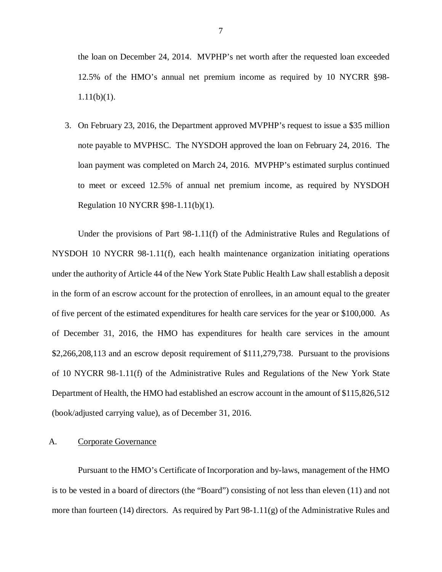<span id="page-8-0"></span> the loan on December 24, 2014. MVPHP's net worth after the requested loan exceeded 12.5% of the HMO's annual net premium income as required by 10 NYCRR §98-  $1.11(b)(1)$ .

1.11(b)(1).<br>3. On February 23, 2016, the Department approved MVPHP's request to issue a \$35 million note payable to MVPHSC. The NYSDOH approved the loan on February 24, 2016. The loan payment was completed on March 24, 2016. MVPHP's estimated surplus continued to meet or exceed 12.5% of annual net premium income, as required by NYSDOH Regulation 10 NYCRR §98-1.11(b)(1).

 Under the provisions of Part 98-1.11(f) of the Administrative Rules and Regulations of NYSDOH 10 NYCRR 98-1.11(f), each health maintenance organization initiating operations under the authority of Article 44 of the New York State Public Health Law shall establish a deposit in the form of an escrow account for the protection of enrollees, in an amount equal to the greater of five percent of the estimated expenditures for health care services for the year or \$100,000. As of December 31, 2016, the HMO has expenditures for health care services in the amount \$2,266,208,113 and an escrow deposit requirement of \$111,279,738. Pursuant to the provisions of 10 NYCRR 98-1.11(f) of the Administrative Rules and Regulations of the New York State Department of Health, the HMO had established an escrow account in the amount of \$115,826,512 (book/adjusted carrying value), as of December 31, 2016.

#### A. Corporate Governance

 Pursuant to the HMO's Certificate of Incorporation and by-laws, management of the HMO is to be vested in a board of directors (the "Board") consisting of not less than eleven (11) and not more than fourteen (14) directors. As required by Part 98-1.11(g) of the Administrative Rules and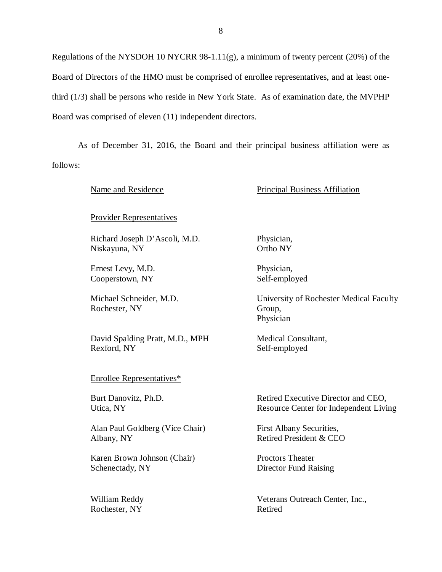Regulations of the NYSDOH 10 NYCRR 98-1.11(g), a minimum of twenty percent (20%) of the Board of Directors of the HMO must be comprised of enrollee representatives, and at least one- third (1/3) shall be persons who reside in New York State. As of examination date, the MVPHP Board was comprised of eleven (11) independent directors.

 As of December 31, 2016, the Board and their principal business affiliation were as follows:

Provider Representatives

 Richard Joseph D'Ascoli, M.D. Niskayuna, NY

 Ernest Levy, M.D. Cooperstown, NY

 Michael Schneider, M.D. Rochester, NY

 David Spalding Pratt, M.D., MPH Rexford, NY

Enrollee Representatives\*

Burt Danovitz, Ph.D. Utica, NY

Alan Paul Goldberg (Vice Chair) First Albany Securities, Albany, NY Albany, NY Retired President & CEO

Karen Brown Johnson (Chair) Proctors Theater Schenectady, NY

William Reddy Rochester, NY Retired

Name and Residence **Principal Business** Affiliation

 Physician, Ortho NY

Physician, Self-employed

 University of Rochester Medical Faculty Group, Physician

 Medical Consultant, Self-employed

Burt Danovitz, Ph.D. Retired Executive Director and CEO, Utica, NY Resource Center for Independent Living

First Albany Securities,

**Proctors Theater** Director Fund Raising

William Reddy **Veterans Outreach Center**, Inc.,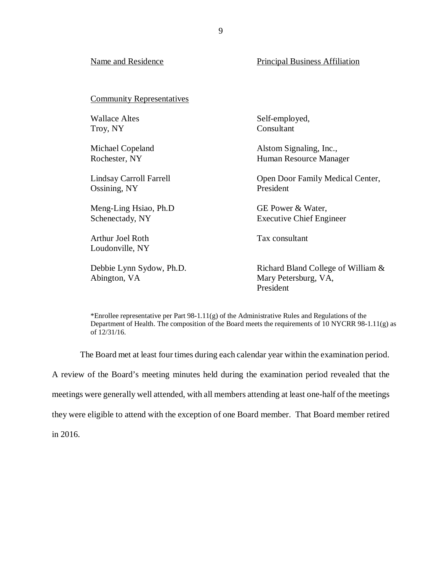| Name and Residence                         | <b>Principal Business Affiliation</b>                                   |
|--------------------------------------------|-------------------------------------------------------------------------|
| <b>Community Representatives</b>           |                                                                         |
| Wallace Altes                              | Self-employed,                                                          |
| Troy, NY                                   | Consultant                                                              |
| Michael Copeland                           | Alstom Signaling, Inc.,                                                 |
| Rochester, NY                              | Human Resource Manager                                                  |
| Lindsay Carroll Farrell                    | Open Door Family Medical Center,                                        |
| Ossining, NY                               | President                                                               |
| Meng-Ling Hsiao, Ph.D                      | GE Power & Water,                                                       |
| Schenectady, NY                            | <b>Executive Chief Engineer</b>                                         |
| <b>Arthur Joel Roth</b><br>Loudonville, NY | Tax consultant                                                          |
| Debbie Lynn Sydow, Ph.D.<br>Abington, VA   | Richard Bland College of William &<br>Mary Petersburg, VA,<br>President |

\*Enrollee representative per Part  $98-1.11(g)$  of the Administrative Rules and Regulations of the Department of Health. The composition of the Board meets the requirements of 10 NYCRR 98-1.11(g) as of 12/31/16.

The Board met at least four times during each calendar year within the examination period.

 A review of the Board's meeting minutes held during the examination period revealed that the meetings were generally well attended, with all members attending at least one-half of the meetings they were eligible to attend with the exception of one Board member. That Board member retired

in 2016.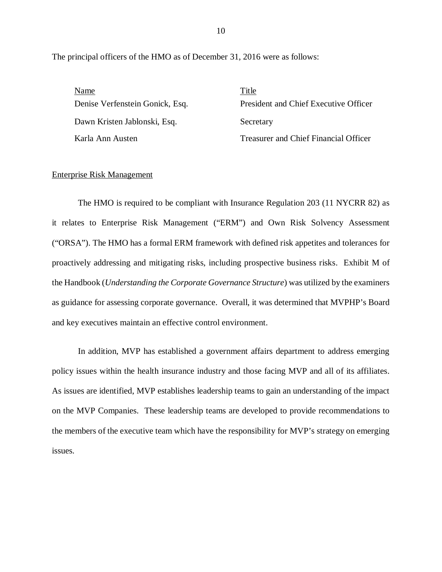The principal officers of the HMO as of December 31, 2016 were as follows:

| Name                            | Title                                 |
|---------------------------------|---------------------------------------|
| Denise Verfenstein Gonick, Esq. | President and Chief Executive Officer |
| Dawn Kristen Jablonski, Esq.    | Secretary                             |
| Karla Ann Austen                | Treasurer and Chief Financial Officer |

#### **Enterprise Risk Management**

 it relates to Enterprise Risk Management ("ERM") and Own Risk Solvency Assessment ("ORSA"). The HMO has a formal ERM framework with defined risk appetites and tolerances for proactively addressing and mitigating risks, including prospective business risks. Exhibit M of the Handbook (*Understanding the Corporate Governance Structure*) was utilized by the examiners as guidance for assessing corporate governance. Overall, it was determined that MVPHP's Board and key executives maintain an effective control environment. The HMO is required to be compliant with Insurance Regulation 203 (11 NYCRR 82) as

 policy issues within the health insurance industry and those facing MVP and all of its affiliates. As issues are identified, MVP establishes leadership teams to gain an understanding of the impact on the MVP Companies. These leadership teams are developed to provide recommendations to the members of the executive team which have the responsibility for MVP's strategy on emerging In addition, MVP has established a government affairs department to address emerging issues.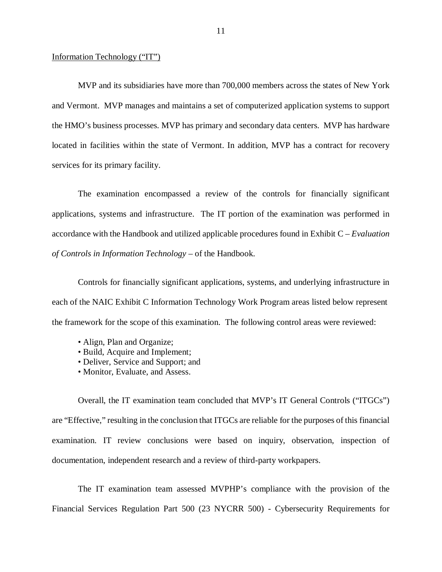#### Information Technology ("IT")

 MVP and its subsidiaries have more than 700,000 members across the states of New York and Vermont. MVP manages and maintains a set of computerized application systems to support the HMO's business processes. MVP has primary and secondary data centers. MVP has hardware located in facilities within the state of Vermont. In addition, MVP has a contract for recovery services for its primary facility.

 The examination encompassed a review of the controls for financially significant applications, systems and infrastructure. The IT portion of the examination was performed in accordance with the Handbook and utilized applicable procedures found in Exhibit C – *Evaluation of Controls in Information Technology* – of the Handbook.

 Controls for financially significant applications, systems, and underlying infrastructure in each of the NAIC Exhibit C Information Technology Work Program areas listed below represent the framework for the scope of this examination. The following control areas were reviewed:

- Align, Plan and Organize;
- Build, Acquire and Implement;
- Deliver, Service and Support; and
- Monitor, Evaluate, and Assess.

 Overall, the IT examination team concluded that MVP's IT General Controls ("ITGCs") are "Effective," resulting in the conclusion that ITGCs are reliable for the purposes of this financial examination. IT review conclusions were based on inquiry, observation, inspection of documentation, independent research and a review of third-party workpapers.

 The IT examination team assessed MVPHP's compliance with the provision of the Financial Services Regulation Part 500 (23 NYCRR 500) - Cybersecurity Requirements for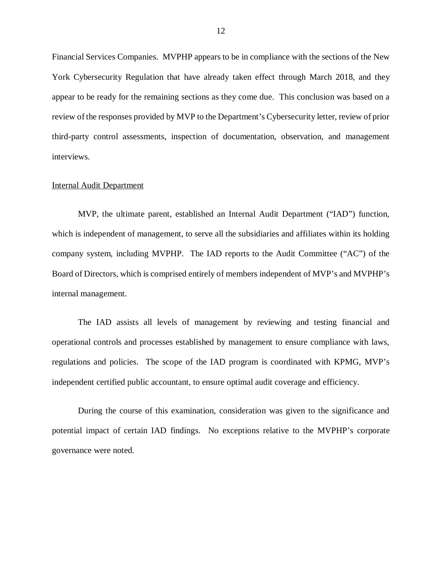Financial Services Companies. MVPHP appears to be in compliance with the sections of the New York Cybersecurity Regulation that have already taken effect through March 2018, and they appear to be ready for the remaining sections as they come due. This conclusion was based on a review of the responses provided by MVP to the Department's Cybersecurity letter, review of prior third-party control assessments, inspection of documentation, observation, and management interviews.

#### Internal Audit Department

 MVP, the ultimate parent, established an Internal Audit Department ("IAD") function, which is independent of management, to serve all the subsidiaries and affiliates within its holding company system, including MVPHP. The IAD reports to the Audit Committee ("AC") of the Board of Directors, which is comprised entirely of members independent of MVP's and MVPHP's internal management. internal management. The IAD assists all levels of management by reviewing and testing financial and

 operational controls and processes established by management to ensure compliance with laws, regulations and policies. The scope of the IAD program is coordinated with KPMG, MVP's independent certified public accountant, to ensure optimal audit coverage and efficiency.

 During the course of this examination, consideration was given to the significance and potential impact of certain IAD findings. No exceptions relative to the MVPHP's corporate governance were noted.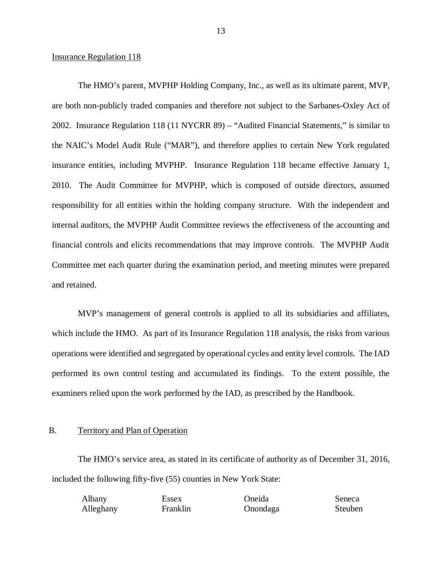#### <span id="page-14-0"></span>**Insurance Regulation 118**

 The HMO's parent, MVPHP Holding Company, Inc., as well as its ultimate parent, MVP, are both non-publicly traded companies and therefore not subject to the Sarbanes-Oxley Act of 2002. Insurance Regulation 118 (11 NYCRR 89) – "Audited Financial Statements," is similar to the NAIC's Model Audit Rule ("MAR"), and therefore applies to certain New York regulated insurance entities, including MVPHP. Insurance Regulation 118 became effective January 1, 2010. The Audit Committee for MVPHP, which is composed of outside directors, assumed responsibility for all entities within the holding company structure. With the independent and internal auditors, the MVPHP Audit Committee reviews the effectiveness of the accounting and financial controls and elicits recommendations that may improve controls. The MVPHP Audit Committee met each quarter during the examination period, and meeting minutes were prepared and retained.

 MVP's management of general controls is applied to all its subsidiaries and affiliates, which include the HMO. As part of its Insurance Regulation 118 analysis, the risks from various operations were identified and segregated by operational cycles and entity level controls. The IAD performed its own control testing and accumulated its findings. To the extent possible, the examiners relied upon the work performed by the IAD, as prescribed by the Handbook.

#### B. Territory and Plan of Operation

 The HMO's service area, as stated in its certificate of authority as of December 31, 2016, included the following fifty-five (55) counties in New York State:

| Albany    | Essex    | Oneida   | Seneca  |
|-----------|----------|----------|---------|
| Alleghany | Franklin | Onondaga | Steuben |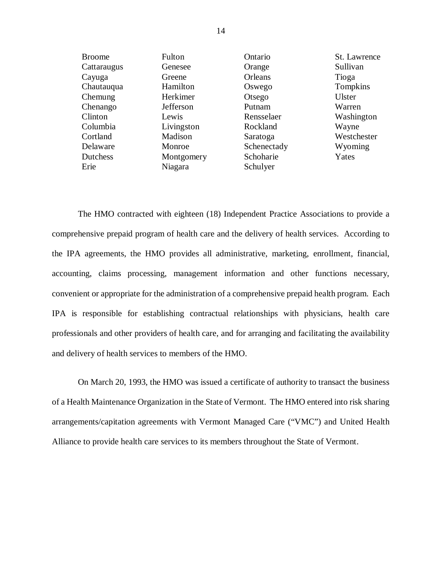| <b>Broome</b> | Fulton     | Ontario     | St. Lawrence |
|---------------|------------|-------------|--------------|
| Cattaraugus   | Genesee    | Orange      | Sullivan     |
| Cayuga        | Greene     | Orleans     | Tioga        |
| Chautauqua    | Hamilton   | Oswego      | Tompkins     |
| Chemung       | Herkimer   | Otsego      | Ulster       |
| Chenango      | Jefferson  | Putnam      | Warren       |
| Clinton       | Lewis      | Rensselaer  | Washington   |
| Columbia      | Livingston | Rockland    | Wayne        |
| Cortland      | Madison    | Saratoga    | Westchester  |
| Delaware      | Monroe     | Schenectady | Wyoming      |
| Dutchess      | Montgomery | Schoharie   | Yates        |
| Erie          | Niagara    | Schulyer    |              |

 The HMO contracted with eighteen (18) Independent Practice Associations to provide a comprehensive prepaid program of health care and the delivery of health services. According to the IPA agreements, the HMO provides all administrative, marketing, enrollment, financial, accounting, claims processing, management information and other functions necessary, convenient or appropriate for the administration of a comprehensive prepaid health program. Each IPA is responsible for establishing contractual relationships with physicians, health care professionals and other providers of health care, and for arranging and facilitating the availability and delivery of health services to members of the HMO.

 On March 20, 1993, the HMO was issued a certificate of authority to transact the business of a Health Maintenance Organization in the State of Vermont. The HMO entered into risk sharing arrangements/capitation agreements with Vermont Managed Care ("VMC") and United Health Alliance to provide health care services to its members throughout the State of Vermont.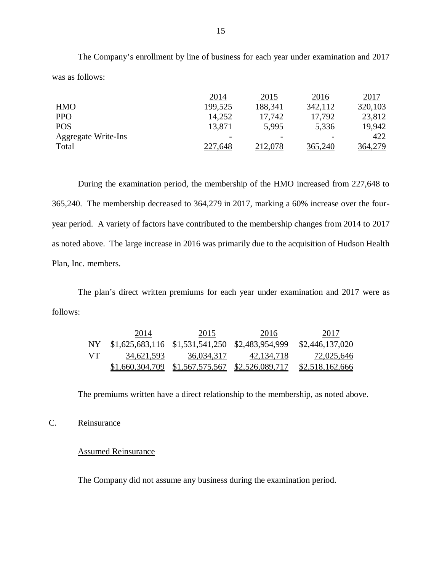The Company's enrollment by line of business for each year under examination and 2017 was as follows:

|                            | 2014                     | 2015    | 2016           | 2017           |
|----------------------------|--------------------------|---------|----------------|----------------|
| <b>HMO</b>                 | 199,525                  | 188,341 | 342,112        | 320,103        |
| <b>PPO</b>                 | 14,252                   | 17,742  | 17,792         | 23,812         |
| <b>POS</b>                 | 13,871                   | 5,995   | 5,336          | 19,942         |
| <b>Aggregate Write-Ins</b> | $\overline{\phantom{m}}$ |         |                | 422            |
| Total                      | 227,648                  | 212,078 | <u>365,240</u> | <u>364,279</u> |

 During the examination period, the membership of the HMO increased from 227,648 to 365,240. The membership decreased to 364,279 in 2017, marking a 60% increase over the four- year period. A variety of factors have contributed to the membership changes from 2014 to 2017 as noted above. The large increase in 2016 was primarily due to the acquisition of Hudson Health Plan, Inc. members.

 The plan's direct written premiums for each year under examination and 2017 were as follows:

|     | 2014       | 2015                                               | 2016         | 2017                   |
|-----|------------|----------------------------------------------------|--------------|------------------------|
| NY  |            | $$1,625,683,116$ $$1,531,541,250$ $$2,483,954,999$ |              | \$2,446,137,020        |
| VT. | 34,621,593 | 36,034,317                                         | 42, 134, 718 | 72,025,646             |
|     |            | $$1,660,304,709$ $$1,567,575,567$ $$2,526,089,717$ |              | <u>\$2,518,162,666</u> |

The premiums written have a direct relationship to the membership, as noted above.

## C. Reinsurance

#### Assumed Reinsurance

The Company did not assume any business during the examination period.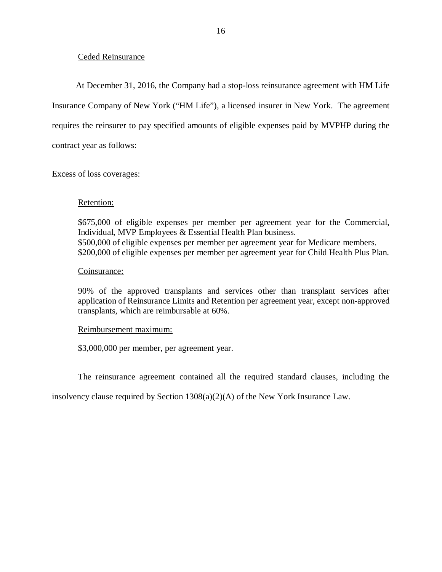# Ceded Reinsurance

 Insurance Company of New York ("HM Life"), a licensed insurer in New York. The agreement requires the reinsurer to pay specified amounts of eligible expenses paid by MVPHP during the contract year as follows: At December 31, 2016, the Company had a stop-loss reinsurance agreement with HM Life

# Excess of loss coverages:

## Retention:

 \$675,000 of eligible expenses per member per agreement year for the Commercial, Individual, MVP Employees & Essential Health Plan business. \$500,000 of eligible expenses per member per agreement year for Medicare members. \$200,000 of eligible expenses per member per agreement year for Child Health Plus Plan.

#### Coinsurance:

 90% of the approved transplants and services other than transplant services after application of Reinsurance Limits and Retention per agreement year, except non-approved transplants, which are reimbursable at 60%.

## Reimbursement maximum:

\$3,000,000 per member, per agreement year.

The reinsurance agreement contained all the required standard clauses, including the

insolvency clause required by Section 1308(a)(2)(A) of the New York Insurance Law.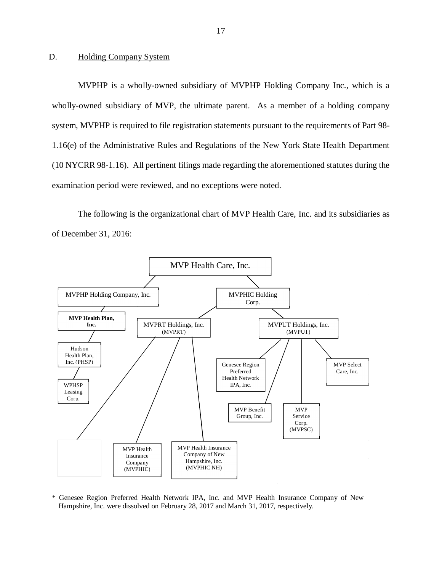#### <span id="page-18-0"></span>D. Holding Company System

MVPHP is a wholly-owned subsidiary of MVPHP Holding Company Inc., which is a wholly-owned subsidiary of MVP, the ultimate parent. As a member of a holding company system, MVPHP is required to file registration statements pursuant to the requirements of Part 98- 1.16(e) of the Administrative Rules and Regulations of the New York State Health Department (10 NYCRR 98-1.16). All pertinent filings made regarding the aforementioned statutes during the examination period were reviewed, and no exceptions were noted.

The following is the organizational chart of MVP Health Care, Inc. and its subsidiaries as of December 31, 2016:



\* Genesee Region Preferred Health Network IPA, Inc. and MVP Health Insurance Company of New Hampshire, Inc. were dissolved on February 28, 2017 and March 31, 2017, respectively.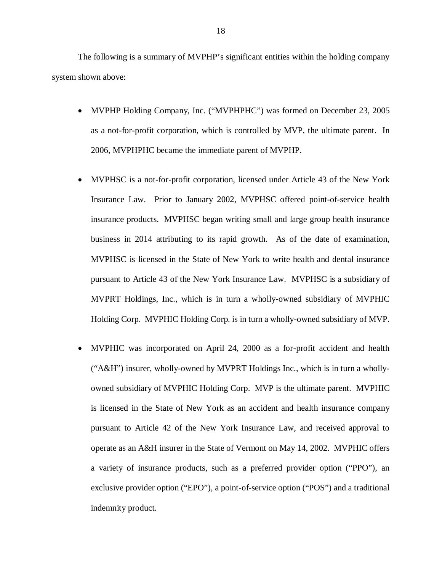The following is a summary of MVPHP's significant entities within the holding company system shown above:

- MVPHP Holding Company, Inc. ("MVPHPHC") was formed on December 23, 2005 as a not-for-profit corporation, which is controlled by MVP, the ultimate parent. In 2006, MVPHPHC became the immediate parent of MVPHP.
- MVPHSC is a not-for-profit corporation, licensed under Article 43 of the New York Insurance Law. Prior to January 2002, MVPHSC offered point-of-service health insurance products. MVPHSC began writing small and large group health insurance business in 2014 attributing to its rapid growth. As of the date of examination, MVPHSC is licensed in the State of New York to write health and dental insurance pursuant to Article 43 of the New York Insurance Law. MVPHSC is a subsidiary of MVPRT Holdings, Inc., which is in turn a wholly-owned subsidiary of MVPHIC Holding Corp. MVPHIC Holding Corp. is in turn a wholly-owned subsidiary of MVP.
- MVPHIC was incorporated on April 24, 2000 as a for-profit accident and health ("A&H") insurer, wholly-owned by MVPRT Holdings Inc., which is in turn a wholly- owned subsidiary of MVPHIC Holding Corp. MVP is the ultimate parent. MVPHIC is licensed in the State of New York as an accident and health insurance company pursuant to Article 42 of the New York Insurance Law, and received approval to operate as an A&H insurer in the State of Vermont on May 14, 2002. MVPHIC offers a variety of insurance products, such as a preferred provider option ("PPO"), an exclusive provider option ("EPO"), a point-of-service option ("POS") and a traditional indemnity product.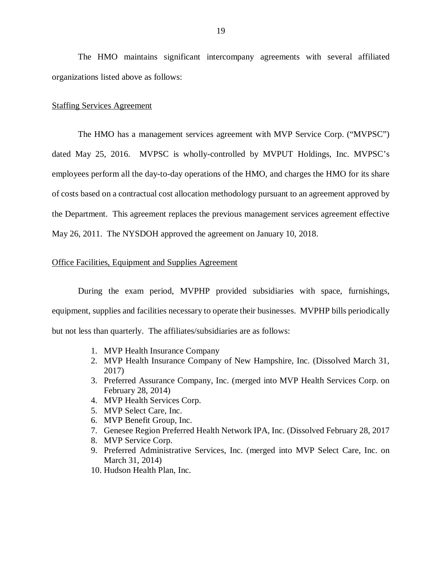The HMO maintains significant intercompany agreements with several affiliated organizations listed above as follows:

#### **Staffing Services Agreement**

 The HMO has a management services agreement with MVP Service Corp. ("MVPSC") dated May 25, 2016. MVPSC is wholly-controlled by MVPUT Holdings, Inc. MVPSC's employees perform all the day-to-day operations of the HMO, and charges the HMO for its share of costs based on a contractual cost allocation methodology pursuant to an agreement approved by the Department. This agreement replaces the previous management services agreement effective May 26, 2011. The NYSDOH approved the agreement on January 10, 2018.

#### Office Facilities, Equipment and Supplies Agreement

 During the exam period, MVPHP provided subsidiaries with space, furnishings, equipment, supplies and facilities necessary to operate their businesses. MVPHP bills periodically but not less than quarterly. The affiliates/subsidiaries are as follows:

- 1. MVP Health Insurance Company
- 2. MVP Health Insurance Company of New Hampshire, Inc. (Dissolved March 31, 2017)
- 3. Preferred Assurance Company, Inc. (merged into MVP Health Services Corp. on February 28, 2014)
- 4. MVP Health Services Corp.
- 5. MVP Select Care, Inc.
- 6. MVP Benefit Group, Inc.
- 7. Genesee Region Preferred Health Network IPA, Inc. (Dissolved February 28, 2017
- 8. MVP Service Corp.
- 9. Preferred Administrative Services, Inc. (merged into MVP Select Care, Inc. on March 31, 2014)
- 10. Hudson Health Plan, Inc.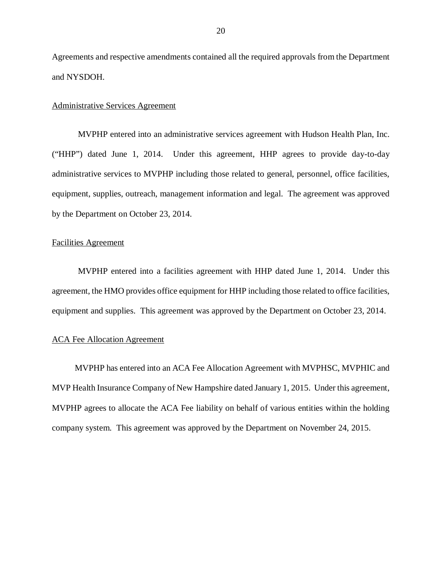Agreements and respective amendments contained all the required approvals from the Department and NYSDOH. and NYSDOH.<br>Administrative Services Agreement

 MVPHP entered into an administrative services agreement with Hudson Health Plan, Inc. ("HHP") dated June 1, 2014. Under this agreement, HHP agrees to provide day-to-day administrative services to MVPHP including those related to general, personnel, office facilities, equipment, supplies, outreach, management information and legal. The agreement was approved by the Department on October 23, 2014.

#### Facilities Agreement

 MVPHP entered into a facilities agreement with HHP dated June 1, 2014. Under this agreement, the HMO provides office equipment for HHP including those related to office facilities, equipment and supplies. This agreement was approved by the Department on October 23, 2014.

#### ACA Fee Allocation Agreement

 MVPHP has entered into an ACA Fee Allocation Agreement with MVPHSC, MVPHIC and MVP Health Insurance Company of New Hampshire dated January 1, 2015. Under this agreement, MVPHP agrees to allocate the ACA Fee liability on behalf of various entities within the holding company system. This agreement was approved by the Department on November 24, 2015.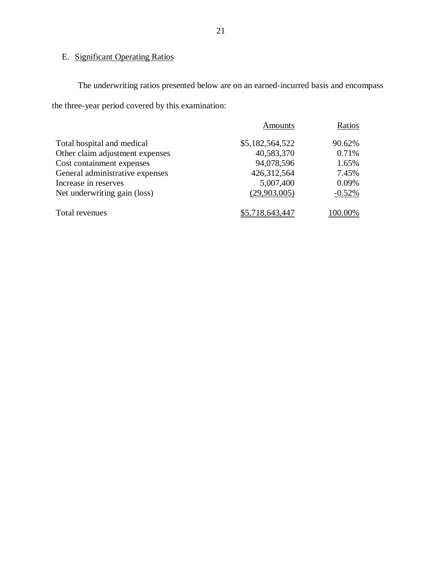## E. Significant Operating Ratios

 The underwriting ratios presented below are on an earned-incurred basis and encompass the three-year period covered by this examination:

|                                 | Amounts         | Ratios   |
|---------------------------------|-----------------|----------|
| Total hospital and medical      | \$5,182,564,522 | 90.62%   |
| Other claim adjustment expenses | 40,583,370      | 0.71%    |
| Cost containment expenses       | 94,078,596      | 1.65%    |
| General administrative expenses | 426,312,564     | 7.45%    |
| Increase in reserves            | 5,007,400       | 0.09%    |
| Net underwriting gain (loss)    | (29,903,005)    | $-0.52%$ |
| Total revenues                  | \$5,718,643,447 | 100.00%  |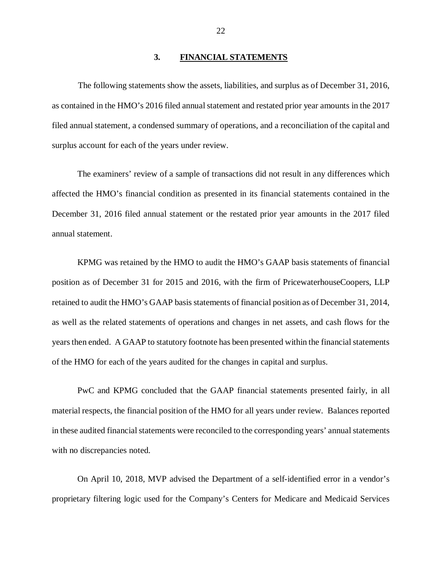#### **3. FINANCIAL STATEMENTS**

<span id="page-23-0"></span> The following statements show the assets, liabilities, and surplus as of December 31, 2016, as contained in the HMO's 2016 filed annual statement and restated prior year amounts in the 2017 filed annual statement, a condensed summary of operations, and a reconciliation of the capital and surplus account for each of the years under review.

 The examiners' review of a sample of transactions did not result in any differences which affected the HMO's financial condition as presented in its financial statements contained in the December 31, 2016 filed annual statement or the restated prior year amounts in the 2017 filed annual statement.

 KPMG was retained by the HMO to audit the HMO's GAAP basis statements of financial position as of December 31 for 2015 and 2016, with the firm of PricewaterhouseCoopers, LLP retained to audit the HMO's GAAP basis statements of financial position as of December 31, 2014, as well as the related statements of operations and changes in net assets, and cash flows for the years then ended. A GAAP to statutory footnote has been presented within the financial statements of the HMO for each of the years audited for the changes in capital and surplus.

 PwC and KPMG concluded that the GAAP financial statements presented fairly, in all material respects, the financial position of the HMO for all years under review. Balances reported in these audited financial statements were reconciled to the corresponding years' annual statements with no discrepancies noted.

 On April 10, 2018, MVP advised the Department of a self-identified error in a vendor's proprietary filtering logic used for the Company's Centers for Medicare and Medicaid Services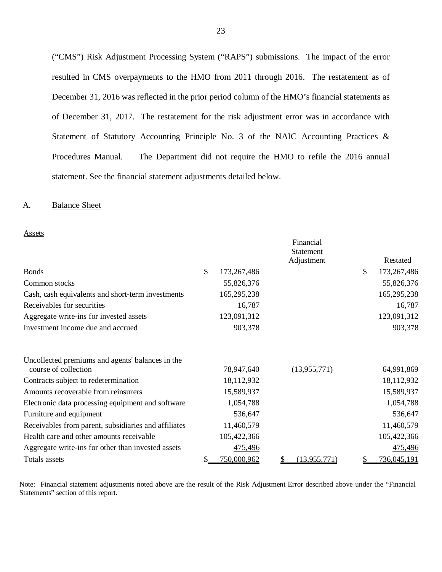("CMS") Risk Adjustment Processing System ("RAPS") submissions. The impact of the error resulted in CMS overpayments to the HMO from 2011 through 2016. The restatement as of December 31, 2016 was reflected in the prior period column of the HMO's financial statements as of December 31, 2017. The restatement for the risk adjustment error was in accordance with Statement of Statutory Accounting Principle No. 3 of the NAIC Accounting Practices & Procedures Manual. statement. See the financial statement adjustments detailed below. The Department did not require the HMO to refile the 2016 annual

#### A. Balance Sheet

|                                                                          |     |             | Financial                      |                   |
|--------------------------------------------------------------------------|-----|-------------|--------------------------------|-------------------|
|                                                                          |     |             | <b>Statement</b><br>Adjustment | Restated          |
| <b>Bonds</b>                                                             | \$  | 173,267,486 |                                | \$<br>173,267,486 |
| Common stocks                                                            |     | 55,826,376  |                                | 55,826,376        |
| Cash, cash equivalents and short-term investments                        |     | 165,295,238 |                                | 165,295,238       |
| Receivables for securities                                               |     | 16,787      |                                | 16,787            |
| Aggregate write-ins for invested assets                                  |     | 123,091,312 |                                | 123,091,312       |
| Investment income due and accrued                                        |     | 903,378     |                                | 903,378           |
| Uncollected premiums and agents' balances in the<br>course of collection |     | 78,947,640  | (13, 955, 771)                 | 64,991,869        |
| Contracts subject to redetermination                                     |     | 18,112,932  |                                | 18,112,932        |
| Amounts recoverable from reinsurers                                      |     | 15,589,937  |                                | 15,589,937        |
| Electronic data processing equipment and software                        |     | 1,054,788   |                                | 1,054,788         |
| Furniture and equipment                                                  |     | 536,647     |                                | 536,647           |
| Receivables from parent, subsidiaries and affiliates                     |     | 11,460,579  |                                | 11,460,579        |
| Health care and other amounts receivable                                 |     | 105,422,366 |                                | 105,422,366       |
| Aggregate write-ins for other than invested assets                       |     | 475,496     |                                | 475,496           |
| Totals assets                                                            | \$. | 750,000,962 | (13, 955, 771)<br>\$           | \$<br>736,045,191 |

Note: Financial statement adjustments noted above are the result of the Risk Adjustment Error described above under the "Financial Statements" section of this report.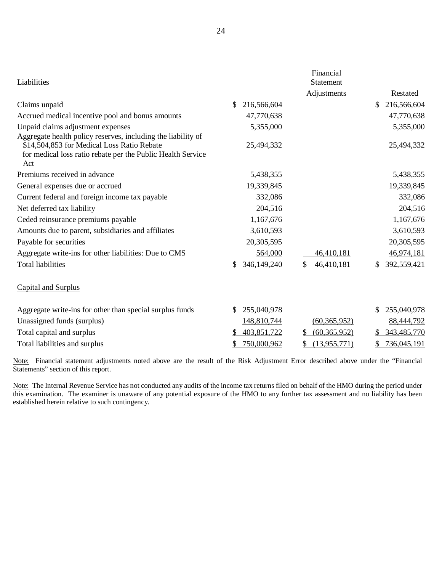| Liabilities                                                        |                    | Financial<br>Statement |                    |
|--------------------------------------------------------------------|--------------------|------------------------|--------------------|
|                                                                    |                    | <b>Adjustments</b>     | <b>Restated</b>    |
| Claims unpaid                                                      | 216,566,604<br>\$. |                        | 216,566,604<br>\$. |
| Accrued medical incentive pool and bonus amounts                   | 47,770,638         |                        | 47,770,638         |
| Unpaid claims adjustment expenses                                  | 5,355,000          |                        | 5,355,000          |
| Aggregate health policy reserves, including the liability of       |                    |                        |                    |
| \$14,504,853 for Medical Loss Ratio Rebate                         | 25,494,332         |                        | 25,494,332         |
| for medical loss ratio rebate per the Public Health Service<br>Act |                    |                        |                    |
| Premiums received in advance                                       | 5,438,355          |                        | 5,438,355          |
| General expenses due or accrued                                    | 19,339,845         |                        | 19,339,845         |
| Current federal and foreign income tax payable                     | 332,086            |                        | 332,086            |
| Net deferred tax liability                                         | 204,516            |                        | 204,516            |
| Ceded reinsurance premiums payable                                 | 1,167,676          |                        | 1,167,676          |
| Amounts due to parent, subsidiaries and affiliates                 | 3,610,593          |                        | 3,610,593          |
| Payable for securities                                             | 20,305,595         |                        | 20,305,595         |
| Aggregate write-ins for other liabilities: Due to CMS              | 564,000            | 46,410,181             | 46,974,181         |
| <b>Total liabilities</b>                                           | 346,149,240        | 46,410,181             | 392,559,421        |
| <b>Capital and Surplus</b>                                         |                    |                        |                    |
| Aggregate write-ins for other than special surplus funds           | 255,040,978        |                        | 255,040,978<br>\$  |
| Unassigned funds (surplus)                                         | 148,810,744        | (60, 365, 952)         | 88,444,792         |
| Total capital and surplus                                          | 403,851,722        | (60, 365, 952)<br>\$   | 343,485,770        |
| Total liabilities and surplus                                      | 750,000,962        | \$<br>(13,955,771)     | 736,045,191<br>\$  |

Note: Financial statement adjustments noted above are the result of the Risk Adjustment Error described above under the "Financial Statements" section of this report.

Note: The Internal Revenue Service has not conducted any audits of the income tax returns filed on behalf of the HMO during the period under this examination. The examiner is unaware of any potential exposure of the HMO to any further tax assessment and no liability has been established herein relative to such contingency.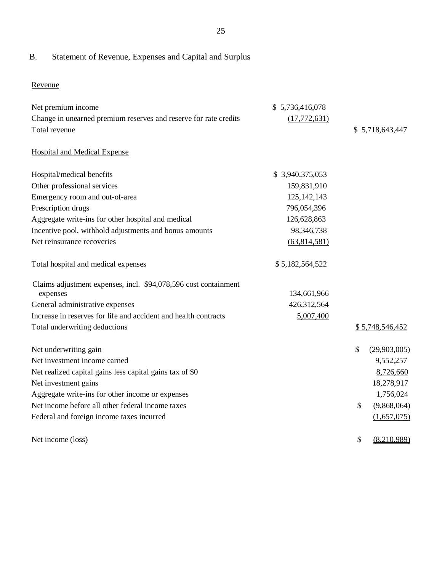### B. Statement of Revenue, Expenses and Capital and Surplus

Revenue

| Net premium income                                               | \$5,736,416,078 |                    |
|------------------------------------------------------------------|-----------------|--------------------|
| Change in unearned premium reserves and reserve for rate credits | (17, 772, 631)  |                    |
| Total revenue                                                    |                 | \$5,718,643,447    |
| <b>Hospital and Medical Expense</b>                              |                 |                    |
| Hospital/medical benefits                                        | \$3,940,375,053 |                    |
| Other professional services                                      | 159,831,910     |                    |
| Emergency room and out-of-area                                   | 125, 142, 143   |                    |
| Prescription drugs                                               | 796,054,396     |                    |
| Aggregate write-ins for other hospital and medical               | 126,628,863     |                    |
| Incentive pool, withhold adjustments and bonus amounts           | 98,346,738      |                    |
| Net reinsurance recoveries                                       | (63,814,581)    |                    |
|                                                                  |                 |                    |
| Total hospital and medical expenses                              | \$5,182,564,522 |                    |
| Claims adjustment expenses, incl. \$94,078,596 cost containment  |                 |                    |
| expenses                                                         | 134,661,966     |                    |
| General administrative expenses                                  | 426,312,564     |                    |
| Increase in reserves for life and accident and health contracts  | 5,007,400       |                    |
| Total underwriting deductions                                    |                 | \$5,748,546,452    |
|                                                                  |                 |                    |
| Net underwriting gain                                            |                 | \$<br>(29,903,005) |
| Net investment income earned                                     |                 | 9,552,257          |
| Net realized capital gains less capital gains tax of \$0         |                 | 8,726,660          |
| Net investment gains                                             |                 | 18,278,917         |
| Aggregate write-ins for other income or expenses                 |                 | 1,756,024          |
| Net income before all other federal income taxes                 |                 | \$<br>(9,868,064)  |
| Federal and foreign income taxes incurred                        |                 | (1,657,075)        |
|                                                                  |                 |                    |
| Net income (loss)                                                |                 | \$<br>(8,210,989)  |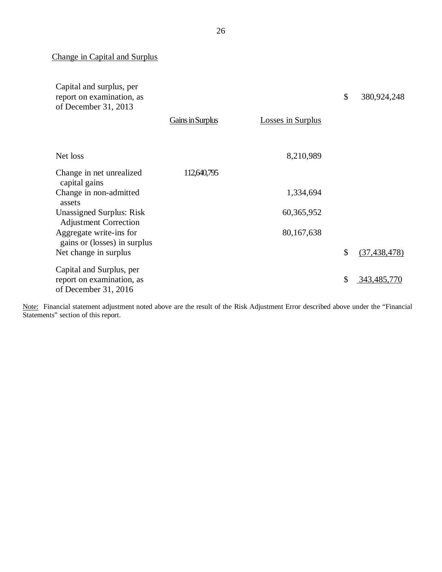Change in Capital and Surplus

| Capital and surplus, per<br>report on examination, as<br>of December 31, 2013 |                  |                          | \$<br>380,924,248    |
|-------------------------------------------------------------------------------|------------------|--------------------------|----------------------|
|                                                                               | Gains in Surplus | <b>Losses in Surplus</b> |                      |
| Net loss                                                                      |                  | 8,210,989                |                      |
| Change in net unrealized<br>capital gains                                     | 112,640,795      |                          |                      |
| Change in non-admitted<br>assets                                              |                  | 1,334,694                |                      |
| <b>Unassigned Surplus: Risk</b><br><b>Adjustment Correction</b>               |                  | 60,365,952               |                      |
| Aggregate write-ins for<br>gains or (losses) in surplus                       |                  | 80,167,638               |                      |
| Net change in surplus                                                         |                  |                          | \$<br>(37, 438, 478) |
| Capital and Surplus, per<br>report on examination, as<br>of December 31, 2016 |                  |                          | \$<br>343,485,770    |

l. Note: Financial statement adjustment noted above are the result of the Risk Adjustment Error described above under the "Financial Statements" section of this report.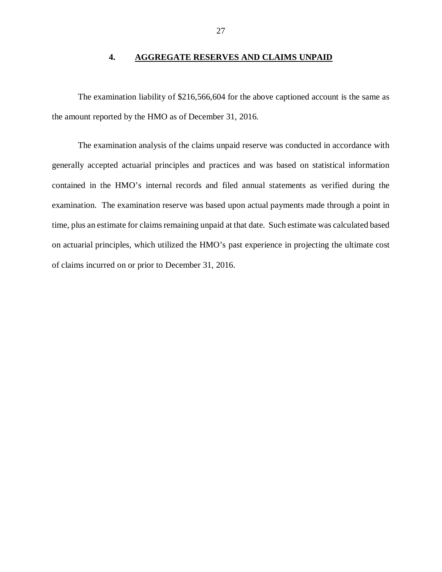#### **4. AGGREGATE RESERVES AND CLAIMS UNPAID**

<span id="page-28-0"></span> The examination liability of \$216,566,604 for the above captioned account is the same as the amount reported by the HMO as of December 31, 2016.

 The examination analysis of the claims unpaid reserve was conducted in accordance with generally accepted actuarial principles and practices and was based on statistical information contained in the HMO's internal records and filed annual statements as verified during the examination. The examination reserve was based upon actual payments made through a point in time, plus an estimate for claims remaining unpaid at that date. Such estimate was calculated based on actuarial principles, which utilized the HMO's past experience in projecting the ultimate cost of claims incurred on or prior to December 31, 2016.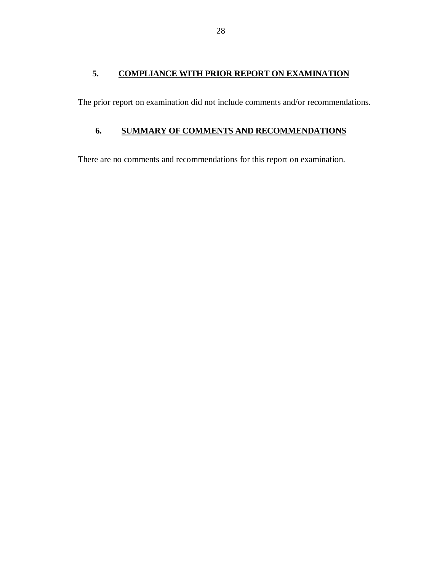# <span id="page-29-0"></span> **5. COMPLIANCE WITH PRIOR REPORT ON EXAMINATION**

The prior report on examination did not include comments and/or recommendations.

# **6. SUMMARY OF COMMENTS AND RECOMMENDATIONS**

There are no comments and recommendations for this report on examination.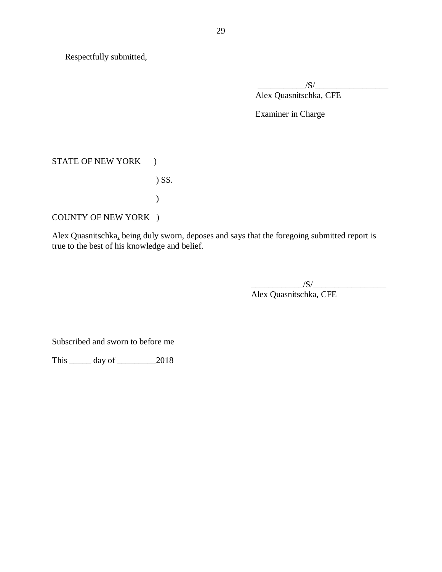Respectfully submitted,

\_\_\_\_\_\_\_\_\_\_\_/S/\_\_\_\_\_\_\_\_\_\_\_\_\_\_\_\_\_ Alex Quasnitschka, CFE

Examiner in Charge

# STATE OF NEW YORK )

) SS.

)

COUNTY OF NEW YORK )

Alex Quasnitschka, being duly sworn, deposes and says that the foregoing submitted report is true to the best of his knowledge and belief.

> $\frac{1}{\sqrt{S}}$ Alex Quasnitschka, CFE

Subscribed and sworn to before me

This \_\_\_\_\_ day of \_\_\_\_\_\_\_\_\_2018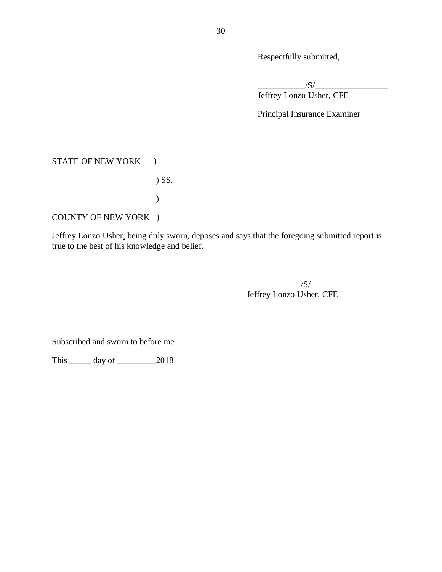Respectfully submitted,

\_\_\_\_\_\_\_\_\_\_\_/S/\_\_\_\_\_\_\_\_\_\_\_\_\_\_\_\_\_ Jeffrey Lonzo Usher, CFE

Principal Insurance Examiner

# STATE OF NEW YORK )

) SS.

)

COUNTY OF NEW YORK )

 Jeffrey Lonzo Usher, being duly sworn, deposes and says that the foregoing submitted report is true to the best of his knowledge and belief.

> \_\_\_\_\_\_\_\_\_\_\_\_/S/\_\_\_\_\_\_\_\_\_\_\_\_\_\_\_\_\_ Jeffrey Lonzo Usher, CFE

Subscribed and sworn to before me

This \_\_\_\_\_ day of \_\_\_\_\_\_\_\_\_2018